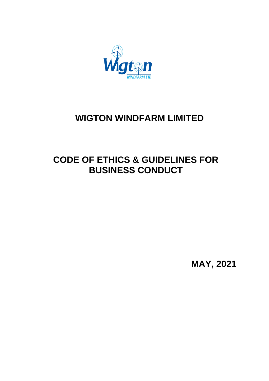

# **WIGTON WINDFARM LIMITED**

# **CODE OF ETHICS & GUIDELINES FOR BUSINESS CONDUCT**

**MAY, 2021**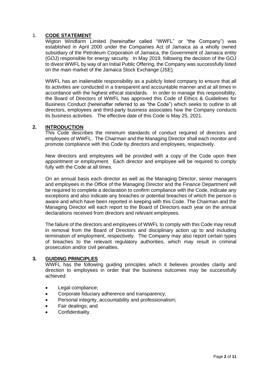# 1. **CODE STATEMENT**

Wigton Windfarm Limited (hereinafter called "WWFL" or "the Company") was established in April 2000 under the Companies Act of Jamaica as a wholly owned subsidiary of the Petroleum Corporation of Jamaica, the Government of Jamaica entity (GOJ) responsible for energy security. In May 2019, following the decision of the GOJ to divest WWFL by way of an Initial Public Offering, the Company was successfully listed on the main market of the Jamaica Stock Exchange (JSE).

WWFL has an inalienable responsibility as a publicly listed company to ensure that all its activities are conducted in a transparent and accountable manner and at all times in accordance with the highest ethical standards. In order to manage this responsibility, the Board of Directors of WWFL has approved this Code of Ethics & Guidelines for Business Conduct (hereinafter referred to as "the Code") which seeks to outline to all directors, employees and third-party business associates how the Company conducts its business activities. The effective date of this Code is May 25, 2021.

# **2. INTRODUCTION**

This Code describes the minimum standards of conduct required of directors and employees of WWFL. The Chairman and the Managing Director shall each monitor and promote compliance with this Code by directors and employees, respectively.

New directors and employees will be provided with a copy of the Code upon their appointment or employment. Each director and employee will be required to comply fully with the Code at all times.

On an annual basis each director as well as the Managing Director, senior managers and employees in the Office of the Managing Director and the Finance Department will be required to complete a declaration to confirm compliance with the Code, indicate any exceptions and also indicate any breaches or potential breaches of which the person is aware and which have been reported in keeping with this Code. The Chairman and the Managing Director will each report to the Board of Directors each year on the annual declarations received from directors and relevant employees.

The failure of the directors and employees of WWFL to comply with this Code may result in removal from the Board of Directors and disciplinary action up to and including termination of employment, respectively. The Company may also report certain types of breaches to the relevant regulatory authorities, which may result in criminal prosecution and/or civil penalties.

#### **3. GUIDING PRINCIPLES**

WWFL has the following guiding principles which it believes provides clarity and direction to employees in order that the business outcomes may be successfully achieved:

- Legal compliance:
- Corporate fiduciary adherence and transparency;
- Personal integrity, accountability and professionalism;
- Fair dealings; and
- Confidentiality.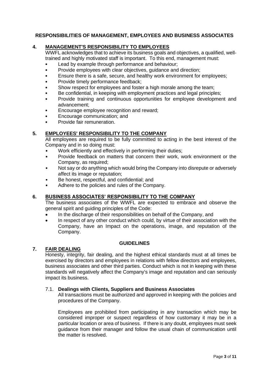# **RESPONSIBILITIES OF MANAGEMENT, EMPLOYEES AND BUSINESS ASSOCIATES**

## **4. MANAGEMENT'S RESPONSIBILITY TO EMPLOYEES**

WWFL acknowledges that to achieve its business goals and objectives, a qualified, welltrained and highly motivated staff is important. To this end, management must:

- Lead by example through performance and behaviour;
- Provide employees with clear objectives, guidance and direction;
- Ensure there is a safe, secure, and healthy work environment for employees;
- Provide timely performance feedback;
- Show respect for employees and foster a high morale among the team:
- Be confidential, in keeping with employment practices and legal principles;
- Provide training and continuous opportunities for employee development and advancement;
- Encourage employee recognition and reward;
- Encourage communication; and
- Provide fair remuneration.

# **5. EMPLOYEES' RESPONSIBILITY TO THE COMPANY**

All employees are required to be fully committed to acting in the best interest of the Company and in so doing must:

- Work efficiently and effectively in performing their duties;
- Provide feedback on matters that concern their work, work environment or the Company, as required;
- Not say or do anything which would bring the Company into disrepute or adversely affect its image or reputation;
- Be honest, respectful, and confidential; and
- Adhere to the policies and rules of the Company.

# **6. BUSINESS ASSOCIATES' RESPONSIBILITY TO THE COMPANY**

The business associates of the WWFL are expected to embrace and observe the general spirit and guiding principles of the Code:

- In the discharge of their responsibilities on behalf of the Company, and
- In respect of any other conduct which could, by virtue of their association with the Company, have an Impact on the operations, image, and reputation of the Company.

#### **GUIDELINES**

# **7. FAIR DEALING**

Honesty, integrity, fair dealing, and the highest ethical standards must at all times be exercised by directors and employees in relations with fellow directors and employees, business associates and other third parties. Conduct which is not in keeping with these standards will negatively affect the Company's image and reputation and can seriously impact its business.

#### 7.1. **Dealings with Clients, Suppliers and Business Associates**

All transactions must be authorized and approved in keeping with the policies and procedures of the Company.

Employees are prohibited from participating in any transaction which may be considered improper or suspect regardless of how customary it may be in a particular location or area of business. If there is any doubt, employees must seek guidance from their manager and follow the usual chain of communication until the matter is resolved.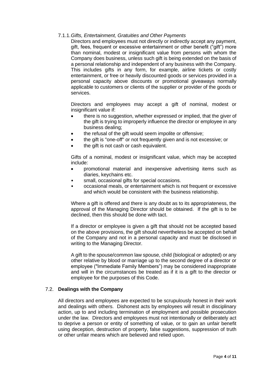## 7.1.1.*Gifts, Entertainment, Gratuities and Other Payments*

Directors and employees must not directly or indirectly accept any payment, gift, fees, frequent or excessive entertainment or other benefit ("gift") more than nominal, modest or insignificant value from persons with whom the Company does business, unless such gift is being extended on the basis of a personal relationship and independent of any business with the Company. This includes gifts in any form, for example, airline tickets or costly entertainment, or free or heavily discounted goods or services provided in a personal capacity above discounts or promotional giveaways normally applicable to customers or clients of the supplier or provider of the goods or services.

Directors and employees may accept a gift of nominal, modest or insignificant value if:

- there is no suggestion, whether expressed or implied, that the giver of the gift is trying to improperly influence the director or employee in any business dealing;
- the refusal of the gift would seem impolite or offensive;
- the gift is "one-off" or not frequently given and is not excessive; or
- the gift is not cash or cash equivalent.

Gifts of a nominal, modest or insignificant value, which may be accepted include:

- promotional material and inexpensive advertising items such as diaries, keychains etc.
- small, occasional gifts for special occasions.
- occasional meals, or entertainment which is not frequent or excessive and which would be consistent with the business relationship.

Where a gift is offered and there is any doubt as to its appropriateness, the approval of the Managing Director should be obtained. If the gift is to be declined, then this should be done with tact.

If a director or employee is given a gift that should not be accepted based on the above provisions, the gift should nevertheless be accepted on behalf of the Company and not in a personal capacity and must be disclosed in writing to the Managing Director.

A gift to the spouse/common law spouse, child (biological or adopted) or any other relative by blood or marriage up to the second degree of a director or employee ("Immediate Family Members") may be considered inappropriate and will in the circumstances be treated as if it is a gift to the director or employee for the purposes of this Code.

# 7.2. **Dealings with the Company**

All directors and employees are expected to be scrupulously honest in their work and dealings with others. Dishonest acts by employees will result in disciplinary action, up to and including termination of employment and possible prosecution under the law. Directors and employees must not intentionally or deliberately act to deprive a person or entity of something of value, or to gain an unfair benefit using deception, destruction of property, false suggestions, suppression of truth or other unfair means which are believed and relied upon.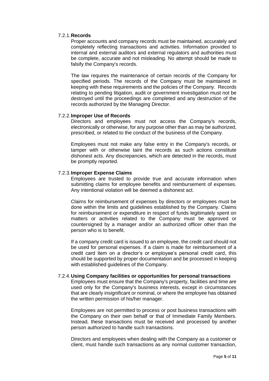#### 7.2.1.**Records**

Proper accounts and company records must be maintained, accurately and completely reflecting transactions and activities. Information provided to internal and external auditors and external regulators and authorities must be complete, accurate and not misleading. No attempt should be made to falsify the Company's records.

The law requires the maintenance of certain records of the Company for specified periods. The records of the Company must be maintained in keeping with these requirements and the policies of the Company. Records relating to pending litigation, audit or government investigation must not be destroyed until the proceedings are completed and any destruction of the records authorized by the Managing Director.

## 7.2.2.**Improper Use of Records**

Directors and employees must not access the Company's records, electronically or otherwise, for any purpose other than as may be authorized, prescribed, or related to the conduct of the business of the Company.

Employees must not make any false entry in the Company's records, or tamper with or otherwise taint the records as such actions constitute dishonest acts. Any discrepancies, which are detected in the records, must be promptly reported.

## 7.2.3.**Improper Expense Claims**

Employees are trusted to provide true and accurate information when submitting claims for employee benefits and reimbursement of expenses. Any intentional violation will be deemed a dishonest act.

Claims for reimbursement of expenses by directors or employees must be done within the limits and guidelines established by the Company. Claims for reimbursement or expenditure in respect of funds legitimately spent on matters or activities related to the Company must be approved or countersigned by a manager and/or an authorized officer other than the person who is to benefit.

If a company credit card is issued to an employee, the credit card should not be used for personal expenses. If a claim is made for reimbursement of a credit card item on a director's or employee's personal credit card, this should be supported by proper documentation and be processed in keeping with established guidelines of the Company.

#### 7.2.4.**Using Company facilities or opportunities for personal transactions**

Employees must ensure that the Company's property, facilities and time are used only for the Company's business interests, except in circumstances that are clearly insignificant or nominal, or where the employee has obtained the written permission of his/her manager.

Employees are not permitted to process or post business transactions with the Company on their own behalf or that of Immediate Family Members. Instead, these transactions must be received and processed by another person authorized to handle such transactions.

Directors and employees when dealing with the Company as a customer or client, must handle such transactions as any normal customer transaction,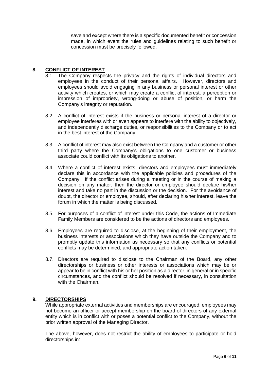save and except where there is a specific documented benefit or concession made, in which event the rules and guidelines relating to such benefit or concession must be precisely followed.

## **8. CONFLICT OF INTEREST**

- 8.1. The Company respects the privacy and the rights of individual directors and employees in the conduct of their personal affairs. However, directors and employees should avoid engaging in any business or personal interest or other activity which creates, or which may create a conflict of interest, a perception or impression of impropriety, wrong-doing or abuse of position, or harm the Company's integrity or reputation.
- 8.2. A conflict of interest exists if the business or personal interest of a director or employee interferes with or even appears to interfere with the ability to objectively, and independently discharge duties, or responsibilities to the Company or to act in the best interest of the Company.
- 8.3. A conflict of interest may also exist between the Company and a customer or other third party where the Company's obligations to one customer or business associate could conflict with its obligations to another.
- 8.4. Where a conflict of interest exists, directors and employees must immediately declare this in accordance with the applicable policies and procedures of the Company. If the conflict arises during a meeting or in the course of making a decision on any matter, then the director or employee should declare his/her interest and take no part in the discussion or the decision. For the avoidance of doubt, the director or employee, should, after declaring his/her interest, leave the forum in which the matter is being discussed.
- 8.5. For purposes of a conflict of interest under this Code, the actions of Immediate Family Members are considered to be the actions of directors and employees.
- 8.6. Employees are required to disclose, at the beginning of their employment, the business interests or associations which they have outside the Company and to promptly update this information as necessary so that any conflicts or potential conflicts may be determined, and appropriate action taken.
- 8.7. Directors are required to disclose to the Chairman of the Board, any other directorships or business or other interests or associations which may be or appear to be in conflict with his or her position as a director, in general or in specific circumstances, and the conflict should be resolved if necessary, in consultation with the Chairman.

#### **9. DIRECTORSHIPS**

While appropriate external activities and memberships are encouraged, employees may not become an officer or accept membership on the board of directors of any external entity which is in conflict with or poses a potential conflict to the Company, without the prior written approval of the Managing Director.

The above, however, does not restrict the ability of employees to participate or hold directorships in: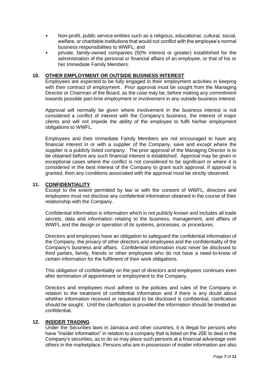- Non-profit, public service entities such as a religious, educational, cultural, social, welfare, or charitable institutions that would not conflict with the employee's normal business responsibilities to WWFL; and
- private, family-owned companies (50% interest or greater) established for the administration of the personal or financial affairs of an employee, or that of his or her Immediate Family Members.

## **10. OTHER EMPLOYMENT OR OUTSIDE BUSINESS INTEREST**

Employees are expected to be fully engaged in their employment activities in keeping with their contract of employment. Prior approval must be sought from the Managing Director or Chairman of the Board, as the case may be, before making any commitment towards possible part-time employment or involvement in any outside business interest.

Approval will normally be given where involvement in the business interest is not considered a conflict of interest with the Company's business, the interest of major clients and will not impede the ability of the employee to fulfil his/her employment obligations to WWFL.

Employees and their Immediate Family Members are not encouraged to have any financial interest in or with a supplier of the Company, save and except where the supplier is a publicly listed company. The prior approval of the Managing Director is to be obtained before any such financial interest is established. Approval may be given in exceptional cases where the conflict is not considered to be significant or where it is considered in the best interest of the Company to grant such approval. If approval is granted, then any conditions associated with the approval must be strictly observed.

## **11. CONFIDENTIALITY**

Except to the extent permitted by law or with the consent of WWFL, directors and employees must not disclose any confidential information obtained in the course of their relationship with the Company.

Confidential information is information which is not publicly known and includes all trade secrets, data and information relating to the business, management, and affairs of WWFL and the design or operation of its systems, processes, or procedures.

Directors and employees have an obligation to safeguard the confidential information of the Company, the privacy of other directors and employees and the confidentiality of the Company's business and affairs. Confidential information must never be disclosed to third parties, family, friends or other employees who do not have a need-to-know of certain information for the fulfilment of their work obligations.

This obligation of confidentiality on the part of directors and employees continues even after termination of appointment or employment to the Company.

Directors and employees must adhere to the policies and rules of the Company in relation to the treatment of confidential information and if there is any doubt about whether information received or requested to be disclosed is confidential, clarification should be sought. Until the clarification is provided the information should be treated as confidential.

#### **12. INSIDER TRADING**

Under the Securities laws in Jamaica and other countries, it is illegal for persons who have "insider information" in relation to a company that is listed on the JSE to deal in the Company's securities, as to do so may place such persons at a financial advantage over others in the marketplace. Persons who are in possession of insider information are also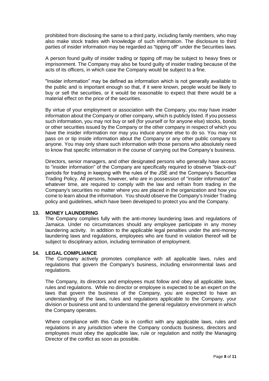prohibited from disclosing the same to a third party, including family members, who may also make stock trades with knowledge of such information. The disclosure to third parties of insider information may be regarded as "tipping off" under the Securities laws.

A person found guilty of insider trading or tipping off may be subject to heavy fines or imprisonment. The Company may also be found guilty of insider trading because of the acts of its officers, in which case the Company would be subject to a fine.

"Insider information" may be defined as information which is not generally available to the public and is important enough so that, if it were known, people would be likely to buy or sell the securities, or it would be reasonable to expect that there would be a material effect on the price of the securities.

By virtue of your employment or association with the Company, you may have insider information about the Company or other company, which is publicly listed. If you possess such information, you may not buy or sell (for yourself or for anyone else) stocks, bonds or other securities issued by the Company or the other company in respect of which you have the insider information nor may you induce anyone else to do so. You may not pass on or tip inside information about the Company or any other public company to anyone. You may only share such information with those persons who absolutely need to know that specific information in the course of carrying out the Company's business.

Directors, senior managers, and other designated persons who generally have access to "insider information" of the Company are specifically required to observe "black-out" periods for trading in keeping with the rules of the JSE and the Company's Securities Trading Policy. All persons, however, who are in possession of "insider information" at whatever time, are required to comply with the law and refrain from trading in the Company's securities no matter where you are placed in the organization and how you come to learn about the information. You should observe the Company's Insider Trading policy and guidelines, which have been developed to protect you and the Company.

#### **13. MONEY LAUNDERING**

The Company complies fully with the anti-money laundering laws and regulations of Jamaica. Under no circumstances should any employee participate in any money laundering activity. In addition to the applicable legal penalties under the anti-money laundering laws and regulations, employees who are found in violation thereof will be subject to disciplinary action, including termination of employment.

#### **14. LEGAL COMPLIANCE**

The Company actively promotes compliance with all applicable laws, rules and regulations that govern the Company's business, including environmental laws and regulations.

The Company, its directors and employees must follow and obey all applicable laws, rules and regulations. While no director or employee is expected to be an expert on the laws that govern the business of the Company, you are expected to have an understanding of the laws, rules and regulations applicable to the Company, your division or business unit and to understand the general regulatory environment in which the Company operates.

Where compliance with this Code is in conflict with any applicable laws, rules and regulations in any jurisdiction where the Company conducts business, directors and employees must obey the applicable law, rule or regulation and notify the Managing Director of the conflict as soon as possible.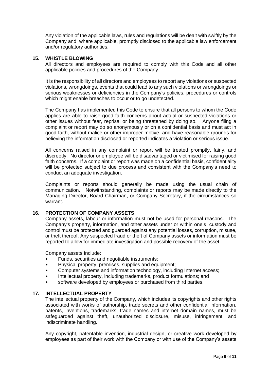Any violation of the applicable laws, rules and regulations will be dealt with swiftly by the Company and, where applicable, promptly disclosed to the applicable law enforcement and/or regulatory authorities.

## **15. WHISTLE BLOWING**

All directors and employees are required to comply with this Code and all other applicable policies and procedures of the Company.

It is the responsibility of all directors and employees to report any violations or suspected violations, wrongdoings, events that could lead to any such violations or wrongdoings or serious weaknesses or deficiencies in the Company's policies, procedures or controls which might enable breaches to occur or to go undetected.

The Company has implemented this Code to ensure that all persons to whom the Code applies are able to raise good faith concerns about actual or suspected violations or other issues without fear, reprisal or being threatened by doing so. Anyone filing a complaint or report may do so anonymously or on a confidential basis and must act in good faith, without malice or other improper motive, and have reasonable grounds for believing the information disclosed or reported indicates a violation or serious issue.

All concerns raised in any complaint or report will be treated promptly, fairly, and discreetly. No director or employee will be disadvantaged or victimised for raising good faith concerns. If a complaint or report was made on a confidential basis, confidentiality will be protected subject to due process and consistent with the Company's need to conduct an adequate investigation.

Complaints or reports should generally be made using the usual chain of communication. Notwithstanding, complaints or reports may be made directly to the Managing Director, Board Chairman, or Company Secretary, if the circumstances so warrant.

# **16. PROTECTION OF COMPANY ASSETS**

Company assets, labour or information must not be used for personal reasons. The Company's property, information, and other assets under or within one's custody and control must be protected and guarded against any potential losses, corruption, misuse, or theft thereof. Any suspected fraud or theft of Company assets or information must be reported to allow for immediate investigation and possible recovery of the asset.

Company assets Include:

- Funds, securities and negotiable instruments;
- Physical property, premises, supplies and equipment;
- Computer systems and information technology, including Internet access;
- Intellectual property, including trademarks, product formulations; and
- software developed by employees or purchased from third parties.

#### **17. INTELLECTUAL PROPERTY**

The intellectual property of the Company, which includes its copyrights and other rights associated with works of authorship, trade secrets and other confidential information, patents, inventions, trademarks, trade names and internet domain names, must be safeguarded against theft, unauthorized disclosure, misuse, infringement, and indiscriminate handling.

Any copyright, patentable invention, industrial design, or creative work developed by employees as part of their work with the Company or with use of the Company's assets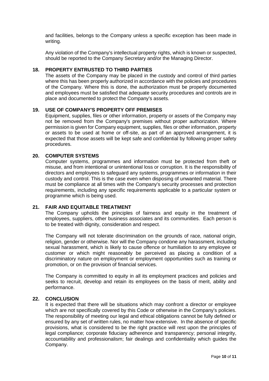and facilities, belongs to the Company unless a specific exception has been made in writing.

Any violation of the Company's intellectual property rights, which is known or suspected, should be reported to the Company Secretary and/or the Managing Director.

#### **18. PROPERTY ENTRUSTED TO THIRD PARTIES**

The assets of the Company may be placed in the custody and control of third parties where this has been properly authorized in accordance with the policies and procedures of the Company. Where this is done, the authorization must be properly documented and employees must be satisfied that adequate security procedures and controls are in place and documented to protect the Company's assets.

#### **19. USE OF COMPANY'S PROPERTY OFF PREMISES**

Equipment, supplies, files or other information, property or assets of the Company may not be removed from the Company's premises without proper authorization. Where permission is given for Company equipment, supplies, files or other information, property or assets to be used at home or off-site, as part of an approved arrangement, it is expected that those assets will be kept safe and confidential by following proper safety procedures.

#### **20. COMPUTER SYSTEMS**

Computer systems, programmes and information must be protected from theft or misuse, and from intentional or unintentional loss or corruption. It is the responsibility of directors and employees to safeguard any systems, programmes or information in their custody and control. This is the case even when disposing of unwanted material. There must be compliance at all times with the Company's security processes and protection requirements, including any specific requirements applicable to a particular system or programme which is being used.

#### **21. FAIR AND EQUITABLE TREATMENT**

The Company upholds the principles of fairness and equity in the treatment of employees, suppliers, other business associates and its communities. Each person is to be treated with dignity, consideration and respect.

The Company will not tolerate discrimination on the grounds of race, national origin, religion, gender or otherwise. Nor will the Company condone any harassment, including sexual harassment, which is likely to cause offence or humiliation to any employee or customer or which might reasonably be perceived as placing a condition of a discriminatory nature on employment or employment opportunities such as training or promotion, or on the provision of financial services.

The Company is committed to equity in all its employment practices and policies and seeks to recruit, develop and retain its employees on the basis of merit, ability and performance.

#### **22. CONCLUSION**

It is expected that there will be situations which may confront a director or employee which are not specifically covered by this Code or otherwise in the Company's policies. The responsibility of meeting our legal and ethical obligations cannot be fully defined or ensured by any set of written rules, no matter how extensive. In the absence of specific provisions, what is considered to be the right practice will rest upon the principles of legal compliance; corporate fiduciary adherence and transparency; personal integrity, accountability and professionalism; fair dealings and confidentiality which guides the Company.